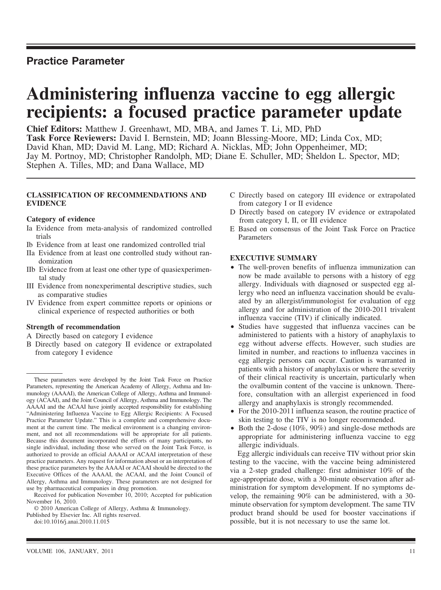# **Practice Parameter**

# **Administering influenza vaccine to egg allergic recipients: a focused practice parameter update**

**Chief Editors:** Matthew J. Greenhawt, MD, MBA, and James T. Li, MD, PhD **Task Force Reviewers:** David I. Bernstein, MD; Joann Blessing-Moore, MD; Linda Cox, MD; David Khan, MD; David M. Lang, MD; Richard A. Nicklas, MD; John Oppenheimer, MD; Jay M. Portnoy, MD; Christopher Randolph, MD; Diane E. Schuller, MD; Sheldon L. Spector, MD; Stephen A. Tilles, MD; and Dana Wallace, MD

# **CLASSIFICATION OF RECOMMENDATIONS AND EVIDENCE**

## **Category of evidence**

- Ia Evidence from meta-analysis of randomized controlled trials
- Ib Evidence from at least one randomized controlled trial
- IIa Evidence from at least one controlled study without randomization
- IIb Evidence from at least one other type of quasiexperimental study
- III Evidence from nonexperimental descriptive studies, such as comparative studies
- IV Evidence from expert committee reports or opinions or clinical experience of respected authorities or both

#### **Strength of recommendation**

- A Directly based on category I evidence
- B Directly based on category II evidence or extrapolated from category I evidence

doi:10.1016/j.anai.2010.11.015

- C Directly based on category III evidence or extrapolated from category I or II evidence
- D Directly based on category IV evidence or extrapolated from category I, II, or III evidence
- E Based on consensus of the Joint Task Force on Practice Parameters

## **EXECUTIVE SUMMARY**

- The well-proven benefits of influenza immunization can now be made available to persons with a history of egg allergy. Individuals with diagnosed or suspected egg allergy who need an influenza vaccination should be evaluated by an allergist/immunologist for evaluation of egg allergy and for administration of the 2010-2011 trivalent influenza vaccine (TIV) if clinically indicated.
- Studies have suggested that influenza vaccines can be administered to patients with a history of anaphylaxis to egg without adverse effects. However, such studies are limited in number, and reactions to influenza vaccines in egg allergic persons can occur. Caution is warranted in patients with a history of anaphylaxis or where the severity of their clinical reactivity is uncertain, particularly when the ovalbumin content of the vaccine is unknown. Therefore, consultation with an allergist experienced in food allergy and anaphylaxis is strongly recommended.
- For the 2010-2011 influenza season, the routine practice of skin testing to the TIV is no longer recommended.
- Both the 2-dose (10%, 90%) and single-dose methods are appropriate for administering influenza vaccine to egg allergic individuals.

Egg allergic individuals can receive TIV without prior skin testing to the vaccine, with the vaccine being administered via a 2-step graded challenge: first administer 10% of the age-appropriate dose, with a 30-minute observation after administration for symptom development. If no symptoms develop, the remaining 90% can be administered, with a 30 minute observation for symptom development. The same TIV product brand should be used for booster vaccinations if possible, but it is not necessary to use the same lot.

These parameters were developed by the Joint Task Force on Practice Parameters, representing the American Academy of Allergy, Asthma and Immunology (AAAAI), the American College of Allergy, Asthma and Immunology (ACAAI), and the Joint Council of Allergy, Asthma and Immunology. The AAAAI and the ACAAI have jointly accepted responsibility for establishing "Administering Influenza Vaccine to Egg Allergic Recipients: A Focused Practice Parameter Update." This is a complete and comprehensive document at the current time. The medical environment is a changing environment, and not all recommendations will be appropriate for all patients. Because this document incorporated the efforts of many participants, no single individual, including those who served on the Joint Task Force, is authorized to provide an official AAAAI or ACAAI interpretation of these practice parameters. Any request for information about or an interpretation of these practice parameters by the AAAAI or ACAAI should be directed to the Executive Offices of the AAAAI, the ACAAI, and the Joint Council of Allergy, Asthma and Immunology. These parameters are not designed for use by pharmaceutical companies in drug promotion.

Received for publication November 10, 2010; Accepted for publication November 16, 2010.

<sup>© 2010</sup> American College of Allergy, Asthma & Immunology.

Published by Elsevier Inc. All rights reserved.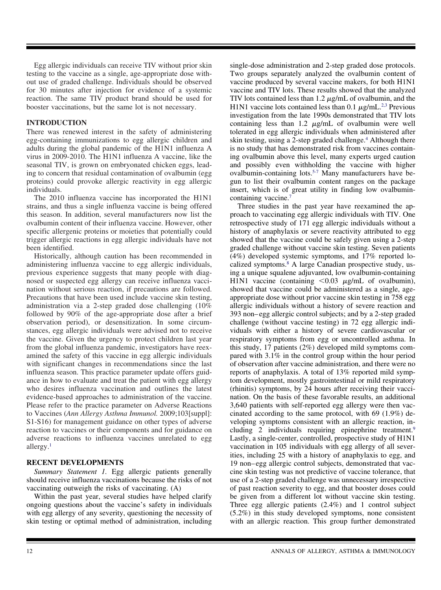Egg allergic individuals can receive TIV without prior skin testing to the vaccine as a single, age-appropriate dose without use of graded challenge. Individuals should be observed for 30 minutes after injection for evidence of a systemic reaction. The same TIV product brand should be used for booster vaccinations, but the same lot is not necessary.

# **INTRODUCTION**

There was renewed interest in the safety of administering egg-containing immunizations to egg allergic children and adults during the global pandemic of the H1N1 influenza A virus in 2009-2010. The H1N1 influenza A vaccine, like the seasonal TIV, is grown on embryonated chicken eggs, leading to concern that residual contamination of ovalbumin (egg proteins) could provoke allergic reactivity in egg allergic individuals.

The 2010 influenza vaccine has incorporated the H1N1 strains, and thus a single influenza vaccine is being offered this season. In addition, several manufacturers now list the ovalbumin content of their influenza vaccine. However, other specific allergenic proteins or moieties that potentially could trigger allergic reactions in egg allergic individuals have not been identified.

Historically, although caution has been recommended in administering influenza vaccine to egg allergic individuals, previous experience suggests that many people with diagnosed or suspected egg allergy can receive influenza vaccination without serious reaction, if precautions are followed. Precautions that have been used include vaccine skin testing, administration via a 2-step graded dose challenging (10% followed by 90% of the age-appropriate dose after a brief observation period), or desensitization. In some circumstances, egg allergic individuals were advised not to receive the vaccine. Given the urgency to protect children last year from the global influenza pandemic, investigators have reexamined the safety of this vaccine in egg allergic individuals with significant changes in recommendations since the last influenza season. This practice parameter update offers guidance in how to evaluate and treat the patient with egg allergy who desires influenza vaccination and outlines the latest evidence-based approaches to administration of the vaccine. Please refer to the practice parameter on Adverse Reactions to Vaccines (*Ann Allergy Asthma Immunol.* 2009;103[suppl]: S1-S16) for management guidance on other types of adverse reaction to vaccines or their components and for guidance on adverse reactions to influenza vaccines unrelated to egg allergy.<sup>1</sup>

# **RECENT DEVELOPMENTS**

*Summary Statement 1.* Egg allergic patients generally should receive influenza vaccinations because the risks of not vaccinating outweigh the risks of vaccinating. (A)

Within the past year, several studies have helped clarify ongoing questions about the vaccine's safety in individuals with egg allergy of any severity, questioning the necessity of skin testing or optimal method of administration, including

single-dose administration and 2-step graded dose protocols. Two groups separately analyzed the ovalbumin content of vaccine produced by several vaccine makers, for both H1N1 vaccine and TIV lots. These results showed that the analyzed TIV lots contained less than 1.2  $\mu$ g/mL of ovalbumin, and the H1N1 vaccine lots contained less than 0.1  $\mu$ g/mL.<sup>2,3</sup> Previous investigation from the late 1990s demonstrated that TIV lots containing less than 1.2  $\mu$ g/mL of ovalbumin were well tolerated in egg allergic individuals when administered after skin testing, using a 2-step graded challenge.<sup>4</sup> Although there is no study that has demonstrated risk from vaccines containing ovalbumin above this level, many experts urged caution and possibly even withholding the vaccine with higher ovalbumin-containing lots.<sup>5-7</sup> Many manufacturers have begun to list their ovalbumin content ranges on the package insert, which is of great utility in finding low ovalbumincontaining vaccine.<sup>7</sup>

Three studies in the past year have reexamined the approach to vaccinating egg allergic individuals with TIV. One retrospective study of 171 egg allergic individuals without a history of anaphylaxis or severe reactivity attributed to egg showed that the vaccine could be safely given using a 2-step graded challenge without vaccine skin testing. Seven patients (4%) developed systemic symptoms, and 17% reported localized symptoms[.8](#page-5-0) A large Canadian prospective study, using a unique squalene adjuvanted, low ovalbumin-containing H1N1 vaccine (containing  $\leq 0.03$   $\mu$ g/mL of ovalbumin), showed that vaccine could be administered as a single, ageappropriate dose without prior vaccine skin testing in 758 egg allergic individuals without a history of severe reaction and 393 non– egg allergic control subjects; and by a 2-step graded challenge (without vaccine testing) in 72 egg allergic individuals with either a history of severe cardiovascular or respiratory symptoms from egg or uncontrolled asthma. In this study, 17 patients (2%) developed mild symptoms compared with 3.1% in the control group within the hour period of observation after vaccine administration, and there were no reports of anaphylaxis. A total of 13% reported mild symptom development, mostly gastrointestinal or mild respiratory (rhinitis) symptoms, by 24 hours after receiving their vaccination. On the basis of these favorable results, an additional 3,640 patients with self-reported egg allergy were then vaccinated according to the same protocol, with 69 (1.9%) developing symptoms consistent with an allergic reaction, including 2 individuals requiring epinephrine treatment.<sup>9</sup> Lastly, a single-center, controlled, prospective study of H1N1 vaccination in 105 individuals with egg allergy of all severities, including 25 with a history of anaphylaxis to egg, and 19 non– egg allergic control subjects, demonstrated that vaccine skin testing was not predictive of vaccine tolerance, that use of a 2-step graded challenge was unnecessary irrespective of past reaction severity to egg, and that booster doses could be given from a different lot without vaccine skin testing. Three egg allergic patients (2.4%) and 1 control subject (5.2%) in this study developed symptoms, none consistent with an allergic reaction. This group further demonstrated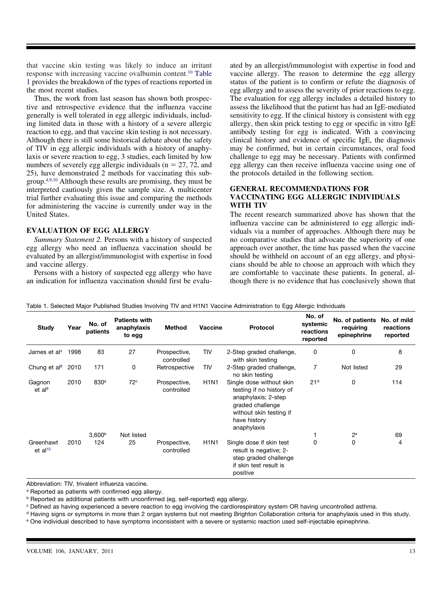that vaccine skin testing was likely to induce an irritant response with increasing vaccine ovalbumin content.<sup>10</sup> Table 1 provides the breakdown of the types of reactions reported in the most recent studies.

Thus, the work from last season has shown both prospective and retrospective evidence that the influenza vaccine generally is well tolerated in egg allergic individuals, including limited data in those with a history of a severe allergic reaction to egg, and that vaccine skin testing is not necessary. Although there is still some historical debate about the safety of TIV in egg allergic individuals with a history of anaphylaxis or severe reaction to egg, 3 studies, each limited by low numbers of severely egg allergic individuals ( $n = 27, 72$ , and 25), have demonstrated 2 methods for vaccinating this subgroup[.4,9,10](#page-5-0) Although these results are promising, they must be interpreted cautiously given the sample size. A multicenter trial further evaluating this issue and comparing the methods for administering the vaccine is currently under way in the United States.

# **EVALUATION OF EGG ALLERGY**

*Summary Statement 2.* Persons with a history of suspected egg allergy who need an influenza vaccination should be evaluated by an allergist/immunologist with expertise in food and vaccine allergy.

Persons with a history of suspected egg allergy who have an indication for influenza vaccination should first be evaluated by an allergist/immunologist with expertise in food and vaccine allergy. The reason to determine the egg allergy status of the patient is to confirm or refute the diagnosis of egg allergy and to assess the severity of prior reactions to egg. The evaluation for egg allergy includes a detailed history to assess the likelihood that the patient has had an IgE-mediated sensitivity to egg. If the clinical history is consistent with egg allergy, then skin prick testing to egg or specific in vitro IgE antibody testing for egg is indicated. With a convincing clinical history and evidence of specific IgE, the diagnosis may be confirmed, but in certain circumstances, oral food challenge to egg may be necessary. Patients with confirmed egg allergy can then receive influenza vaccine using one of the protocols detailed in the following section.

#### **GENERAL RECOMMENDATIONS FOR VACCINATING EGG ALLERGIC INDIVIDUALS WITH TIV**

The recent research summarized above has shown that the influenza vaccine can be administered to egg allergic individuals via a number of approaches. Although there may be no comparative studies that advocate the superiority of one approach over another, the time has passed when the vaccine should be withheld on account of an egg allergy, and physicians should be able to choose an approach with which they are comfortable to vaccinate these patients. In general, although there is no evidence that has conclusively shown that

| <b>Study</b>                       | Year | No. of<br>patients | <b>Patients with</b><br>anaphylaxis<br>to egg | Method                     | Vaccine     | Protocol                                                                                                                                                  | No. of<br>systemic<br>reactions<br>reported | No. of patients<br>requiring<br>epinephrine | No. of mild<br>reactions<br>reported |
|------------------------------------|------|--------------------|-----------------------------------------------|----------------------------|-------------|-----------------------------------------------------------------------------------------------------------------------------------------------------------|---------------------------------------------|---------------------------------------------|--------------------------------------|
| James et $al4$                     | 1998 | 83                 | 27                                            | Prospective,<br>controlled | <b>TIV</b>  | 2-Step graded challenge,<br>with skin testing                                                                                                             | 0                                           | 0                                           | 8                                    |
| Chung et al <sup>8</sup>           | 2010 | 171                | 0                                             | Retrospective              | <b>TIV</b>  | 2-Step graded challenge,<br>no skin testing                                                                                                               | 7                                           | Not listed                                  | 29                                   |
| Gagnon<br>et al <sup>9</sup>       | 2010 | 830 <sup>a</sup>   | 72 <sup>c</sup>                               | Prospective,<br>controlled | <b>H1N1</b> | Single dose without skin<br>testing if no history of<br>anaphylaxis; 2-step<br>graded challenge<br>without skin testing if<br>have history<br>anaphylaxis | 21 <sup>d</sup>                             | 0                                           | 114                                  |
|                                    |      | 3,600 <sup>b</sup> | Not listed                                    |                            |             |                                                                                                                                                           |                                             | $2^e$                                       | 69                                   |
| Greenhawt<br>$et$ al <sup>10</sup> | 2010 | 124                | 25                                            | Prospective,<br>controlled | <b>H1N1</b> | Single dose if skin test<br>result is negative; 2-<br>step graded challenge<br>if skin test result is<br>positive                                         | 0                                           | $\Omega$                                    | 4                                    |

Table 1. Selected Major Published Studies Involving TIV and H1N1 Vaccine Administration to Egg Allergic Individuals

Abbreviation: TIV, trivalent influenza vaccine.

a Reported as patients with confirmed egg allergy.

**b Reported as additional patients with unconfirmed (eg, self-reported) egg allergy.** 

<sup>c</sup> Defined as having experienced a severe reaction to egg involving the cardiorespiratory system OR having uncontrolled asthma.

<sup>d</sup> Having signs or symptoms in more than 2 organ systems but not meeting Brighton Collaboration criteria for anaphylaxis used in this study. <sup>e</sup> One individual described to have symptoms inconsistent with a severe or systemic reaction used self-injectable epinephrine.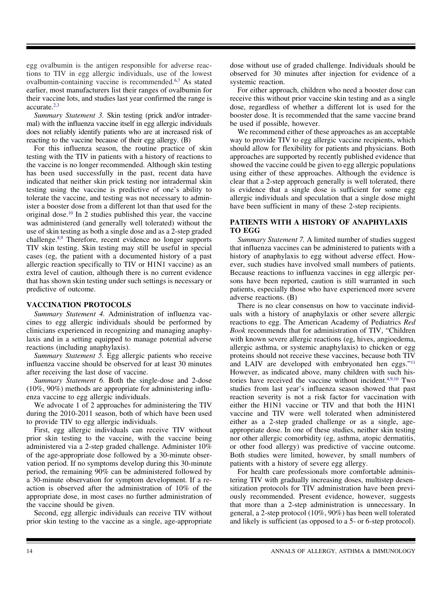egg ovalbumin is the antigen responsible for adverse reactions to TIV in egg allergic individuals, use of the lowest ovalbumin-containing vaccine is recommended[.6,7](#page-5-0) As stated earlier, most manufacturers list their ranges of ovalbumin for their vaccine lots, and studies last year confirmed the range is accurate. $2,3$ 

*Summary Statement 3.* Skin testing (prick and/or intradermal) with the influenza vaccine itself in egg allergic individuals does not reliably identify patients who are at increased risk of reacting to the vaccine because of their egg allergy. (B)

For this influenza season, the routine practice of skin testing with the TIV in patients with a history of reactions to the vaccine is no longer recommended. Although skin testing has been used successfully in the past, recent data have indicated that neither skin prick testing nor intradermal skin testing using the vaccine is predictive of one's ability to tolerate the vaccine, and testing was not necessary to administer a booster dose from a different lot than that used for the original dose[.10](#page-5-0) In 2 studies published this year, the vaccine was administered (and generally well tolerated) without the use of skin testing as both a single dose and as a 2-step graded challenge[.8,9](#page-5-0) Therefore, recent evidence no longer supports TIV skin testing. Skin testing may still be useful in special cases (eg, the patient with a documented history of a past allergic reaction specifically to TIV or H1N1 vaccine) as an extra level of caution, although there is no current evidence that has shown skin testing under such settings is necessary or predictive of outcome.

#### **VACCINATION PROTOCOLS**

*Summary Statement 4.* Administration of influenza vaccines to egg allergic individuals should be performed by clinicians experienced in recognizing and managing anaphylaxis and in a setting equipped to manage potential adverse reactions (including anaphylaxis).

*Summary Statement 5.* Egg allergic patients who receive influenza vaccine should be observed for at least 30 minutes after receiving the last dose of vaccine.

*Summary Statement 6.* Both the single-dose and 2-dose (10%, 90%) methods are appropriate for administering influenza vaccine to egg allergic individuals.

We advocate 1 of 2 approaches for administering the TIV during the 2010-2011 season, both of which have been used to provide TIV to egg allergic individuals.

First, egg allergic individuals can receive TIV without prior skin testing to the vaccine, with the vaccine being administered via a 2-step graded challenge. Administer 10% of the age-appropriate dose followed by a 30-minute observation period. If no symptoms develop during this 30-minute period, the remaining 90% can be administered followed by a 30-minute observation for symptom development. If a reaction is observed after the administration of 10% of the appropriate dose, in most cases no further administration of the vaccine should be given.

Second, egg allergic individuals can receive TIV without prior skin testing to the vaccine as a single, age-appropriate dose without use of graded challenge. Individuals should be observed for 30 minutes after injection for evidence of a systemic reaction.

For either approach, children who need a booster dose can receive this without prior vaccine skin testing and as a single dose, regardless of whether a different lot is used for the booster dose. It is recommended that the same vaccine brand be used if possible, however.

We recommend either of these approaches as an acceptable way to provide TIV to egg allergic vaccine recipients, which should allow for flexibility for patients and physicians. Both approaches are supported by recently published evidence that showed the vaccine could be given to egg allergic populations using either of these approaches. Although the evidence is clear that a 2-step approach generally is well tolerated, there is evidence that a single dose is sufficient for some egg allergic individuals and speculation that a single dose might have been sufficient in many of these 2-step recipients.

# **PATIENTS WITH A HISTORY OF ANAPHYLAXIS TO EGG**

*Summary Statement 7.* A limited number of studies suggest that influenza vaccines can be administered to patients with a history of anaphylaxis to egg without adverse effect. However, such studies have involved small numbers of patients. Because reactions to influenza vaccines in egg allergic persons have been reported, caution is still warranted in such patients, especially those who have experienced more severe adverse reactions. (B)

There is no clear consensus on how to vaccinate individuals with a history of anaphylaxis or other severe allergic reactions to egg. The American Academy of Pediatrics *Red Book* recommends that for administration of TIV, "Children with known severe allergic reactions (eg, hives, angioedema, allergic asthma, or systemic anaphylaxis) to chicken or egg proteins should not receive these vaccines, because both TIV and LAIV are developed with embryonated hen eggs.["11](#page-5-0) However, as indicated above, many children with such histories have received the vaccine without incident[.4,9,10](#page-5-0) Two studies from last year's influenza season showed that past reaction severity is not a risk factor for vaccination with either the H1N1 vaccine or TIV and that both the H1N1 vaccine and TIV were well tolerated when administered either as a 2-step graded challenge or as a single, ageappropriate dose. In one of these studies, neither skin testing nor other allergic comorbidity (eg, asthma, atopic dermatitis, or other food allergy) was predictive of vaccine outcome. Both studies were limited, however, by small numbers of patients with a history of severe egg allergy.

For health care professionals more comfortable administering TIV with gradually increasing doses, multistep desensitization protocols for TIV administration have been previously recommended. Present evidence, however, suggests that more than a 2-step administration is unnecessary. In general, a 2-step protocol (10%, 90%) has been well tolerated and likely is sufficient (as opposed to a 5- or 6-step protocol).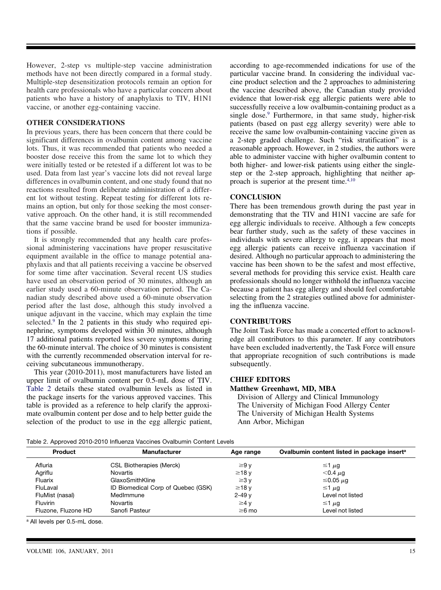However, 2-step vs multiple-step vaccine administration methods have not been directly compared in a formal study. Multiple-step desensitization protocols remain an option for health care professionals who have a particular concern about patients who have a history of anaphylaxis to TIV, H1N1 vaccine, or another egg-containing vaccine.

#### **OTHER CONSIDERATIONS**

In previous years, there has been concern that there could be significant differences in ovalbumin content among vaccine lots. Thus, it was recommended that patients who needed a booster dose receive this from the same lot to which they were initially tested or be retested if a different lot was to be used. Data from last year's vaccine lots did not reveal large differences in ovalbumin content, and one study found that no reactions resulted from deliberate administration of a different lot without testing. Repeat testing for different lots remains an option, but only for those seeking the most conservative approach. On the other hand, it is still recommended that the same vaccine brand be used for booster immunizations if possible.

It is strongly recommended that any health care professional administering vaccinations have proper resuscitative equipment available in the office to manage potential anaphylaxis and that all patients receiving a vaccine be observed for some time after vaccination. Several recent US studies have used an observation period of 30 minutes, although an earlier study used a 60-minute observation period. The Canadian study described above used a 60-minute observation period after the last dose, although this study involved a unique adjuvant in the vaccine, which may explain the time selected.<sup>9</sup> In the 2 patients in this study who required epinephrine, symptoms developed within 30 minutes, although 17 additional patients reported less severe symptoms during the 60-minute interval. The choice of 30 minutes is consistent with the currently recommended observation interval for receiving subcutaneous immunotherapy.

This year (2010-2011), most manufacturers have listed an upper limit of ovalbumin content per 0.5-mL dose of TIV. Table 2 details these stated ovalbumin levels as listed in the package inserts for the various approved vaccines. This table is provided as a reference to help clarify the approximate ovalbumin content per dose and to help better guide the selection of the product to use in the egg allergic patient,

according to age-recommended indications for use of the particular vaccine brand. In considering the individual vaccine product selection and the 2 approaches to administering the vaccine described above, the Canadian study provided evidence that lower-risk egg allergic patients were able to successfully receive a low ovalbumin-containing product as a single dose.<sup>9</sup> Furthermore, in that same study, higher-risk patients (based on past egg allergy severity) were able to receive the same low ovalbumin-containing vaccine given as a 2-step graded challenge. Such "risk stratification" is a reasonable approach. However, in 2 studies, the authors were able to administer vaccine with higher ovalbumin content to both higher- and lower-risk patients using either the singlestep or the 2-step approach, highlighting that neither approach is superior at the present time[.4,10](#page-5-0)

#### **CONCLUSION**

There has been tremendous growth during the past year in demonstrating that the TIV and H1N1 vaccine are safe for egg allergic individuals to receive. Although a few concepts bear further study, such as the safety of these vaccines in individuals with severe allergy to egg, it appears that most egg allergic patients can receive influenza vaccination if desired. Although no particular approach to administering the vaccine has been shown to be the safest and most effective, several methods for providing this service exist. Health care professionals should no longer withhold the influenza vaccine because a patient has egg allergy and should feel comfortable selecting from the 2 strategies outlined above for administering the influenza vaccine.

# **CONTRIBUTORS**

The Joint Task Force has made a concerted effort to acknowledge all contributors to this parameter. If any contributors have been excluded inadvertently, the Task Force will ensure that appropriate recognition of such contributions is made subsequently.

#### **CHIEF EDITORS**

#### **Matthew Greenhawt, MD, MBA**

Division of Allergy and Clinical Immunology The University of Michigan Food Allergy Center The University of Michigan Health Systems Ann Arbor, Michigan

Table 2. Approved 2010-2010 Influenza Vaccines Ovalbumin Content Levels

| <b>Product</b>      | <b>Manufacturer</b>                | Age range   | Ovalbumin content listed in package insert <sup>a</sup> |
|---------------------|------------------------------------|-------------|---------------------------------------------------------|
| Afluria             | CSL Biotherapies (Merck)           | ≥9 v        | ≤1 μg                                                   |
| Agriflu             | Novartis                           | $\geq$ 18 y | $<$ 0.4 $\mu$ g                                         |
| Fluarix             | GlaxoSmithKline                    | $\geq$ 3 y  | $≤0.05 \mu q$                                           |
| FluLaval            | ID Biomedical Corp of Quebec (GSK) | $\geq$ 18 y | ≤1 μq                                                   |
| FluMist (nasal)     | MedImmune                          | $2 - 49$ v  | Level not listed                                        |
| <b>Fluvirin</b>     | <b>Novartis</b>                    | $\geq$ 4 y  | ≤1 μg                                                   |
| Fluzone, Fluzone HD | Sanofi Pasteur                     | $\geq 6$ mo | Level not listed                                        |

<sup>a</sup> All levels per 0.5-mL dose.